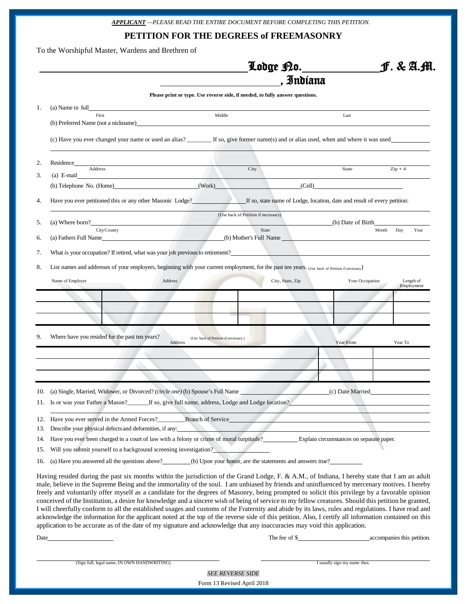| A <b>PPLIC</b> AN <b>T</b> —PLEASE READ THE ENTIRE DOCUMENT BEFORE COMPLETING THIS PETITION. |
|----------------------------------------------------------------------------------------------|
|----------------------------------------------------------------------------------------------|

**PETITION FOR THE DEGREES of FREEMASONRY**

To the Worshipful Master, Wardens and Brethren of

|     |                                                                                                                                                                                                                                                                                                                                                                                                                                                                                                                                                                                                                                                                                                                                                                                                                                                                                                                                                                                                                                                         |                                      | Lodge P.0. <u>____</u>                                                        |  |                                                                          | J. & A.M.                                                                       |  |  |
|-----|---------------------------------------------------------------------------------------------------------------------------------------------------------------------------------------------------------------------------------------------------------------------------------------------------------------------------------------------------------------------------------------------------------------------------------------------------------------------------------------------------------------------------------------------------------------------------------------------------------------------------------------------------------------------------------------------------------------------------------------------------------------------------------------------------------------------------------------------------------------------------------------------------------------------------------------------------------------------------------------------------------------------------------------------------------|--------------------------------------|-------------------------------------------------------------------------------|--|--------------------------------------------------------------------------|---------------------------------------------------------------------------------|--|--|
|     |                                                                                                                                                                                                                                                                                                                                                                                                                                                                                                                                                                                                                                                                                                                                                                                                                                                                                                                                                                                                                                                         | . Indiana                            |                                                                               |  |                                                                          |                                                                                 |  |  |
|     |                                                                                                                                                                                                                                                                                                                                                                                                                                                                                                                                                                                                                                                                                                                                                                                                                                                                                                                                                                                                                                                         |                                      | Please print or type. Use reverse side, if needed, to fully answer questions. |  |                                                                          |                                                                                 |  |  |
| 1.  | (a) Name in full<br>First                                                                                                                                                                                                                                                                                                                                                                                                                                                                                                                                                                                                                                                                                                                                                                                                                                                                                                                                                                                                                               | Middle                               |                                                                               |  | Last                                                                     |                                                                                 |  |  |
|     | (b) Preferred Name (not a nickname)                                                                                                                                                                                                                                                                                                                                                                                                                                                                                                                                                                                                                                                                                                                                                                                                                                                                                                                                                                                                                     |                                      |                                                                               |  |                                                                          |                                                                                 |  |  |
|     | (c) Have you ever changed your name or used an alias? _______ If so, give former name(s) and or alias used, when and where it was used                                                                                                                                                                                                                                                                                                                                                                                                                                                                                                                                                                                                                                                                                                                                                                                                                                                                                                                  |                                      |                                                                               |  |                                                                          |                                                                                 |  |  |
| 2.  | Residence                                                                                                                                                                                                                                                                                                                                                                                                                                                                                                                                                                                                                                                                                                                                                                                                                                                                                                                                                                                                                                               |                                      |                                                                               |  |                                                                          |                                                                                 |  |  |
| 3.  | Address<br>$(a)$ E-mail<br><u> 1989 - John Stein, mars and de Brandenburg and de Brandenburg and de Brandenburg and de Brandenburg and de Br</u>                                                                                                                                                                                                                                                                                                                                                                                                                                                                                                                                                                                                                                                                                                                                                                                                                                                                                                        |                                      | City                                                                          |  | State                                                                    | $Zip + 4$                                                                       |  |  |
|     | (b) Telephone No. (Home) (Work)                                                                                                                                                                                                                                                                                                                                                                                                                                                                                                                                                                                                                                                                                                                                                                                                                                                                                                                                                                                                                         |                                      |                                                                               |  | (Cell)                                                                   |                                                                                 |  |  |
| 4.  | Have you ever petitioned this or any other Masonic Lodge?                                                                                                                                                                                                                                                                                                                                                                                                                                                                                                                                                                                                                                                                                                                                                                                                                                                                                                                                                                                               |                                      |                                                                               |  | If so, state name of Lodge, location, date and result of every petition: |                                                                                 |  |  |
| 5.  | $(a)$ Where born?                                                                                                                                                                                                                                                                                                                                                                                                                                                                                                                                                                                                                                                                                                                                                                                                                                                                                                                                                                                                                                       |                                      | (Use back of Petition if necessary)                                           |  | (b) Date of Birth                                                        |                                                                                 |  |  |
|     | City/County                                                                                                                                                                                                                                                                                                                                                                                                                                                                                                                                                                                                                                                                                                                                                                                                                                                                                                                                                                                                                                             |                                      | State                                                                         |  |                                                                          | Day<br>Year<br>Month                                                            |  |  |
| 6.  | (a) Fathers Full Name (b) Mother's Full Name (b)                                                                                                                                                                                                                                                                                                                                                                                                                                                                                                                                                                                                                                                                                                                                                                                                                                                                                                                                                                                                        |                                      |                                                                               |  |                                                                          |                                                                                 |  |  |
| 7.  | What is your occupation? If retired, what was your job previous to retirement?                                                                                                                                                                                                                                                                                                                                                                                                                                                                                                                                                                                                                                                                                                                                                                                                                                                                                                                                                                          |                                      |                                                                               |  |                                                                          |                                                                                 |  |  |
| 8.  | List names and addresses of your employers, beginning with your current employment, for the past ten years. (Use back of Petition if necessary)                                                                                                                                                                                                                                                                                                                                                                                                                                                                                                                                                                                                                                                                                                                                                                                                                                                                                                         |                                      |                                                                               |  |                                                                          |                                                                                 |  |  |
|     | Name of Employer<br>Address                                                                                                                                                                                                                                                                                                                                                                                                                                                                                                                                                                                                                                                                                                                                                                                                                                                                                                                                                                                                                             |                                      | City, State, Zip                                                              |  | Your Occupation                                                          | Length of                                                                       |  |  |
|     |                                                                                                                                                                                                                                                                                                                                                                                                                                                                                                                                                                                                                                                                                                                                                                                                                                                                                                                                                                                                                                                         |                                      |                                                                               |  |                                                                          | Employment                                                                      |  |  |
|     |                                                                                                                                                                                                                                                                                                                                                                                                                                                                                                                                                                                                                                                                                                                                                                                                                                                                                                                                                                                                                                                         |                                      |                                                                               |  |                                                                          |                                                                                 |  |  |
|     |                                                                                                                                                                                                                                                                                                                                                                                                                                                                                                                                                                                                                                                                                                                                                                                                                                                                                                                                                                                                                                                         |                                      |                                                                               |  |                                                                          |                                                                                 |  |  |
|     |                                                                                                                                                                                                                                                                                                                                                                                                                                                                                                                                                                                                                                                                                                                                                                                                                                                                                                                                                                                                                                                         |                                      |                                                                               |  |                                                                          |                                                                                 |  |  |
|     |                                                                                                                                                                                                                                                                                                                                                                                                                                                                                                                                                                                                                                                                                                                                                                                                                                                                                                                                                                                                                                                         |                                      |                                                                               |  |                                                                          |                                                                                 |  |  |
| 9.  | Where have you resided for the past ten years?<br>Address                                                                                                                                                                                                                                                                                                                                                                                                                                                                                                                                                                                                                                                                                                                                                                                                                                                                                                                                                                                               | (Use back of Petition if necessary.) |                                                                               |  | Year From                                                                | Year To                                                                         |  |  |
|     |                                                                                                                                                                                                                                                                                                                                                                                                                                                                                                                                                                                                                                                                                                                                                                                                                                                                                                                                                                                                                                                         |                                      |                                                                               |  |                                                                          |                                                                                 |  |  |
|     |                                                                                                                                                                                                                                                                                                                                                                                                                                                                                                                                                                                                                                                                                                                                                                                                                                                                                                                                                                                                                                                         |                                      |                                                                               |  |                                                                          |                                                                                 |  |  |
|     |                                                                                                                                                                                                                                                                                                                                                                                                                                                                                                                                                                                                                                                                                                                                                                                                                                                                                                                                                                                                                                                         |                                      |                                                                               |  |                                                                          |                                                                                 |  |  |
|     | 10. (a) Single, Married, Widower, or Divorced? (circle one) (b) Spouse's Full Name                                                                                                                                                                                                                                                                                                                                                                                                                                                                                                                                                                                                                                                                                                                                                                                                                                                                                                                                                                      |                                      |                                                                               |  | (c) Date Married                                                         |                                                                                 |  |  |
|     | 11. Is or was your Father a Mason? If so, give full name, address, Lodge and Lodge location?                                                                                                                                                                                                                                                                                                                                                                                                                                                                                                                                                                                                                                                                                                                                                                                                                                                                                                                                                            |                                      |                                                                               |  |                                                                          |                                                                                 |  |  |
|     |                                                                                                                                                                                                                                                                                                                                                                                                                                                                                                                                                                                                                                                                                                                                                                                                                                                                                                                                                                                                                                                         |                                      |                                                                               |  |                                                                          |                                                                                 |  |  |
|     |                                                                                                                                                                                                                                                                                                                                                                                                                                                                                                                                                                                                                                                                                                                                                                                                                                                                                                                                                                                                                                                         |                                      |                                                                               |  |                                                                          |                                                                                 |  |  |
| 13. | Describe your physical defects and deformities, if any:                                                                                                                                                                                                                                                                                                                                                                                                                                                                                                                                                                                                                                                                                                                                                                                                                                                                                                                                                                                                 |                                      |                                                                               |  |                                                                          | the contract of the contract of the contract of the contract of the contract of |  |  |
| 14. | Have you ever been charged in a court of law with a felony or crime of moral turpitude?<br>Explain circumstances on separate paper.                                                                                                                                                                                                                                                                                                                                                                                                                                                                                                                                                                                                                                                                                                                                                                                                                                                                                                                     |                                      |                                                                               |  |                                                                          |                                                                                 |  |  |
| 15. | Will you submit yourself to a background screening investigation?                                                                                                                                                                                                                                                                                                                                                                                                                                                                                                                                                                                                                                                                                                                                                                                                                                                                                                                                                                                       |                                      |                                                                               |  |                                                                          |                                                                                 |  |  |
|     | 16. (a) Have you answered all the questions above? (b) Upon your honor, are the statements and answers true?                                                                                                                                                                                                                                                                                                                                                                                                                                                                                                                                                                                                                                                                                                                                                                                                                                                                                                                                            |                                      |                                                                               |  |                                                                          |                                                                                 |  |  |
|     | Having resided during the past six months within the jurisdiction of the Grand Lodge, F. & A.M., of Indiana, I hereby state that I am an adult<br>male, believe in the Supreme Being and the immortality of the soul. I am unbiased by friends and uninfluenced by mercenary motives. I hereby<br>freely and voluntarily offer myself as a candidate for the degrees of Masonry, being prompted to solicit this privilege by a favorable opinion<br>conceived of the Institution, a desire for knowledge and a sincere wish of being of service to my fellow creatures. Should this petition be granted,<br>I will cheerfully conform to all the established usages and customs of the Fraternity and abide by its laws, rules and regulations. I have read and<br>acknowledge the information for the applicant noted at the top of the reverse side of this petition. Also, I certify all information contained on this<br>application to be accurate as of the date of my signature and acknowledge that any inaccuracies may void this application. |                                      |                                                                               |  |                                                                          |                                                                                 |  |  |
|     |                                                                                                                                                                                                                                                                                                                                                                                                                                                                                                                                                                                                                                                                                                                                                                                                                                                                                                                                                                                                                                                         |                                      |                                                                               |  |                                                                          |                                                                                 |  |  |
|     |                                                                                                                                                                                                                                                                                                                                                                                                                                                                                                                                                                                                                                                                                                                                                                                                                                                                                                                                                                                                                                                         |                                      |                                                                               |  |                                                                          |                                                                                 |  |  |

(Sign full, legal name, IN OWN HANDWRITING) **I** usually sign my name thus.

*SEE REVERSE SIDE*

Form 13 Revised April 2018